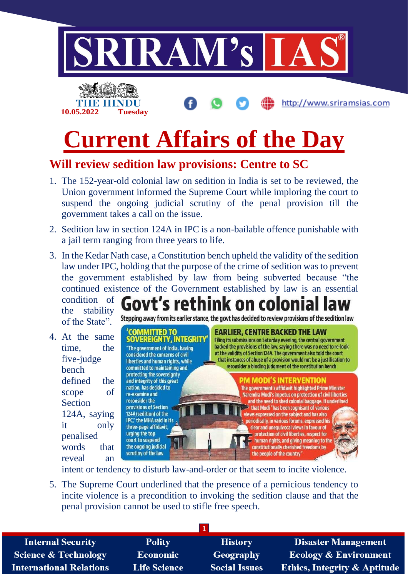

# **Current Affairs of the Day**

# **Will review sedition law provisions: Centre to SC**

- 1. The 152-year-old colonial law on sedition in India is set to be reviewed, the Union government informed the Supreme Court while imploring the court to suspend the ongoing judicial scrutiny of the penal provision till the government takes a call on the issue.
- 2. Sedition law in section 124A in IPC is a non-bailable offence punishable with a jail term ranging from three years to life.
- 3. In the Kedar Nath case, a Constitution bench upheld the validity of the sedition law under IPC, holding that the purpose of the crime of sedition was to prevent the government established by law from being subverted because "the continued existence of the Government established by law is an essential condition of

the stability of the State".

4. At the same time, the five-judge bench defined the scope of **Section** 124A, saying it only penalised words that reveal an

**Govt's rethink on colonial law** Stepping away from its earlier stance, the govt has decided to review provisions of the sedition law

#### 'COMMITTED TO **SOVEREIGNTY, INTEGRITY**

"The government of India, having considered the concerns of civil liberties and human rights, while committed to maintaining and protecting the sovereignty and integrity of this great nation, has decided to re-examine and reconsider the provisions of Section 124A (sedition) of the IPC," the MHA said in its three-page affidavit, urging the top court to suspend the ongoing judicial scrutiny of the law

#### **EARLIER, CENTRE BACKED THE LAW**

Filing its submissions on Saturday evening, the central government backed the provisions of the law, saving there was no need to re-look at the validity of Section 124A. The government also told the court that instances of abuse of a provision would not be a justification to reconsider a binding judgment of the constitution bench

#### **PM MODI'S INTERVENTION**

The government's affidavit highlighted Prime Minister Narendra Modi's impetus on protection of civil liberties and the need to shed colonial baggage. It underlined that Modi "has been cognisant of various views expressed on the subject and has also periodically, in various forums, expressed his clear and unequivocal views in favour of  $\blacksquare$  protection of civil liberties, respect for  $\Rightarrow$  human rights, and giving meaning to the constitutionally cherished freedoms by the people of the country'

intent or tendency to disturb law-and-order or that seem to incite violence.

5. The Supreme Court underlined that the presence of a pernicious tendency to incite violence is a precondition to invoking the sedition clause and that the penal provision cannot be used to stifle free speech.

| <b>Internal Security</b>        | <b>Polity</b>       | <b>History</b>       | <b>Disaster Management</b>              |
|---------------------------------|---------------------|----------------------|-----------------------------------------|
| <b>Science &amp; Technology</b> | <b>Economic</b>     | <b>Geography</b>     | <b>Ecology &amp; Environment</b>        |
| <b>International Relations</b>  | <b>Life Science</b> | <b>Social Issues</b> | <b>Ethics, Integrity &amp; Aptitude</b> |
|                                 |                     |                      |                                         |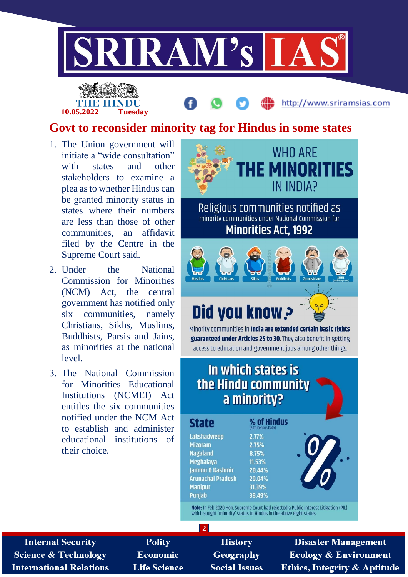

# **Govt to reconsider minority tag for Hindus in some states**

1. The Union government will initiate a "wide consultation" with states and other stakeholders to examine a plea as to whether Hindus can be granted minority status in states where their numbers are less than those of other communities, an affidavit filed by the Centre in the Supreme Court said.

**10.05.2022 Tuesday**

- 2. Under the National Commission for Minorities (NCM) Act, the central government has notified only six communities, namely Christians, Sikhs, Muslims, Buddhists, Parsis and Jains, as minorities at the national level.
- 3. The National Commission for Minorities Educational Institutions (NCMEI) Act entitles the six communities notified under the NCM Act to establish and administer educational institutions of their choice.



**Internal Security Science & Technology International Relations** 

**Polity** Economic **Life Science** 

**History** Geography **Social Issues** 

**Disaster Management Ecology & Environment Ethics, Integrity & Aptitude** 

http://www.sriramsias.com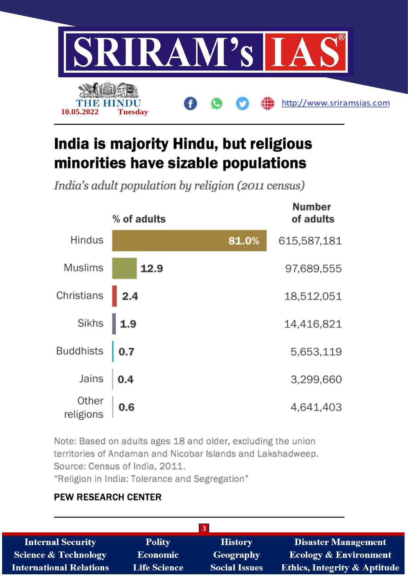

# India is majority Hindu, but religious minorities have sizable populations

India's adult population by religion (2011 census)



Note: Based on adults ages 18 and older, excluding the union territories of Andaman and Nicobar Islands and Lakshadweep. Source: Census of India, 2011.

"Religion in India: Tolerance and Segregation"

#### **PEW RESEARCH CENTER**

| <b>Internal Security</b>       | <b>Polity</b>       | <b>History</b>       | <b>Disaster Management</b>       |
|--------------------------------|---------------------|----------------------|----------------------------------|
| Science & Technology           | Economic            | <b>Geography</b>     | <b>Ecology &amp; Environment</b> |
| <b>International Relations</b> | <b>Life Science</b> | <b>Social Issues</b> | Ethics, Integrity & Aptitude     |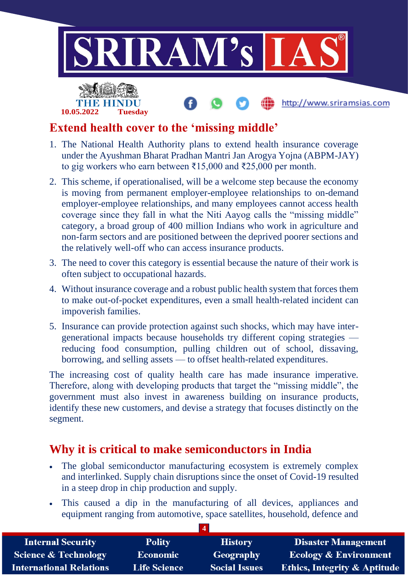

## **Extend health cover to the 'missing middle'**

- 1. The National Health Authority plans to extend health insurance coverage under the Ayushman Bharat Pradhan Mantri Jan Arogya Yojna (ABPM-JAY) to gig workers who earn between ₹15,000 and ₹25,000 per month.
- 2. This scheme, if operationalised, will be a welcome step because the economy is moving from permanent employer-employee relationships to on-demand employer-employee relationships, and many employees cannot access health coverage since they fall in what the Niti Aayog calls the "missing middle" category, a broad group of 400 million Indians who work in agriculture and non-farm sectors and are positioned between the deprived poorer sections and the relatively well-off who can access insurance products.
- 3. The need to cover this category is essential because the nature of their work is often subject to occupational hazards.
- 4. Without insurance coverage and a robust public health system that forces them to make out-of-pocket expenditures, even a small health-related incident can impoverish families.
- 5. Insurance can provide protection against such shocks, which may have intergenerational impacts because households try different coping strategies reducing food consumption, pulling children out of school, dissaving, borrowing, and selling assets — to offset health-related expenditures.

The increasing cost of quality health care has made insurance imperative. Therefore, along with developing products that target the "missing middle", the government must also invest in awareness building on insurance products, identify these new customers, and devise a strategy that focuses distinctly on the segment.

### **Why it is critical to make semiconductors in India**

- The global semiconductor manufacturing ecosystem is extremely complex and interlinked. Supply chain disruptions since the onset of Covid-19 resulted in a steep drop in chip production and supply.
- This caused a dip in the manufacturing of all devices, appliances and equipment ranging from automotive, space satellites, household, defence and

| <b>Internal Security</b>        | <b>Polity</b>       | <b>History</b>       | <b>Disaster Management</b>              |
|---------------------------------|---------------------|----------------------|-----------------------------------------|
| <b>Science &amp; Technology</b> | Economic            | Geography            | <b>Ecology &amp; Environment</b>        |
| <b>International Relations</b>  | <b>Life Science</b> | <b>Social Issues</b> | <b>Ethics, Integrity &amp; Aptitude</b> |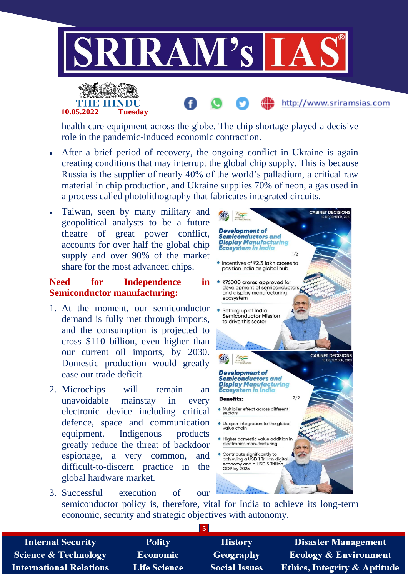



health care equipment across the globe. The chip shortage played a decisive role in the pandemic-induced economic contraction.

- After a brief period of recovery, the ongoing conflict in Ukraine is again creating conditions that may interrupt the global chip supply. This is because Russia is the supplier of nearly 40% of the world's palladium, a critical raw material in chip production, and Ukraine supplies 70% of neon, a gas used in a process called photolithography that fabricates integrated circuits.
- Taiwan, seen by many military and geopolitical analysts to be a future theatre of great power conflict, accounts for over half the global chip supply and over 90% of the market share for the most advanced chips.

#### **Need for Independence in Semiconductor manufacturing:**

- 1. At the moment, our semiconductor demand is fully met through imports, and the consumption is projected to cross \$110 billion, even higher than our current oil imports, by 2030. Domestic production would greatly ease our trade deficit.
- 2. Microchips will remain an unavoidable mainstay in every electronic device including critical defence, space and communication equipment. Indigenous products greatly reduce the threat of backdoor espionage, a very common, and difficult-to-discern practice in the global hardware market.



http://www.sriramsias.com

3. Successful execution of our semiconductor policy is, therefore, vital for India to achieve its long-term economic, security and strategic objectives with autonomy.

| <b>Internal Security</b>        | <b>Polity</b>       | <b>History</b>       | <b>Disaster Management</b>              |
|---------------------------------|---------------------|----------------------|-----------------------------------------|
| <b>Science &amp; Technology</b> | <b>Economic</b>     | <b>Geography</b>     | <b>Ecology &amp; Environment</b>        |
| <b>International Relations</b>  | <b>Life Science</b> | <b>Social Issues</b> | <b>Ethics, Integrity &amp; Aptitude</b> |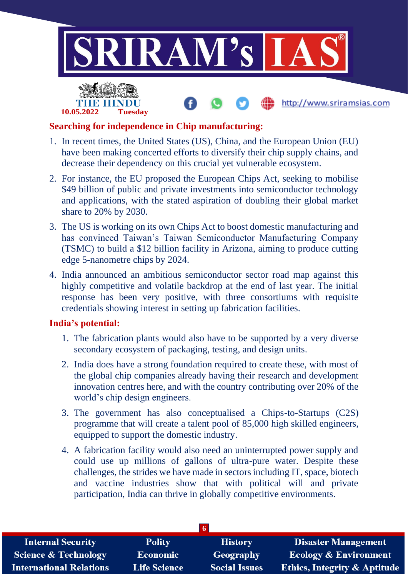

#### **Searching for independence in Chip manufacturing:**

**10.05.2022 Tuesday**

- 1. In recent times, the United States (US), China, and the European Union (EU) have been making concerted efforts to diversify their chip supply chains, and decrease their dependency on this crucial yet vulnerable ecosystem.
- 2. For instance, the EU proposed the European Chips Act, seeking to mobilise \$49 billion of public and private investments into semiconductor technology and applications, with the stated aspiration of doubling their global market share to 20% by 2030.
- 3. The US is working on its own Chips Act to boost domestic manufacturing and has convinced Taiwan's Taiwan Semiconductor Manufacturing Company (TSMC) to build a \$12 billion facility in Arizona, aiming to produce cutting edge 5-nanometre chips by 2024.
- 4. India announced an ambitious semiconductor sector road map against this highly competitive and volatile backdrop at the end of last year. The initial response has been very positive, with three consortiums with requisite credentials showing interest in setting up fabrication facilities.

#### **India's potential:**

- 1. The fabrication plants would also have to be supported by a very diverse secondary ecosystem of packaging, testing, and design units.
- 2. India does have a strong foundation required to create these, with most of the global chip companies already having their research and development innovation centres here, and with the country contributing over 20% of the world's chip design engineers.
- 3. The government has also conceptualised a Chips-to-Startups (C2S) programme that will create a talent pool of 85,000 high skilled engineers, equipped to support the domestic industry.
- 4. A fabrication facility would also need an uninterrupted power supply and could use up millions of gallons of ultra-pure water. Despite these challenges, the strides we have made in sectors including IT, space, biotech and vaccine industries show that with political will and private participation, India can thrive in globally competitive environments.

| <b>Internal Security</b>        | <b>Polity</b>       | <b>History</b>       | <b>Disaster Management</b>              |
|---------------------------------|---------------------|----------------------|-----------------------------------------|
| <b>Science &amp; Technology</b> | <b>Economic</b>     | Geography            | <b>Ecology &amp; Environment</b>        |
| <b>International Relations</b>  | <b>Life Science</b> | <b>Social Issues</b> | <b>Ethics, Integrity &amp; Aptitude</b> |